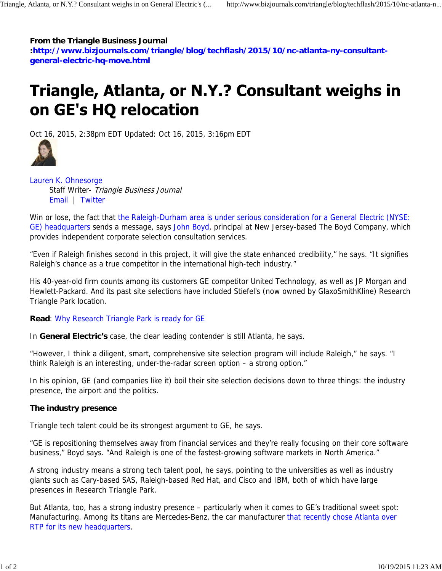#### **From the Triangle Business Journal**

**:http://www.bizjournals.com/triangle/blog/techflash/2015/10/nc-atlanta-ny-consultantgeneral-electric-hq-move.html**

# Triangle, Atlanta, or N.Y.? Consultant weighs in on GE's HQ relocation

Oct 16, 2015, 2:38pm EDT Updated: Oct 16, 2015, 3:16pm EDT



Lauren K. Ohnesorge Staff Writer- Triangle Business Journal Email | Twitter

Win or lose, the fact that the Raleigh-Durham area is under serious consideration for a General Electric (NYSE: GE) headquarters sends a message, says John Boyd, principal at New Jersey-based The Boyd Company, which provides independent corporate selection consultation services.

"Even if Raleigh finishes second in this project, it will give the state enhanced credibility," he says. "It signifies Raleigh's chance as a true competitor in the international high-tech industry."

His 40-year-old firm counts among its customers GE competitor United Technology, as well as JP Morgan and Hewlett-Packard. And its past site selections have included Stiefel's (now owned by GlaxoSmithKline) Research Triangle Park location.

#### **Read**: Why Research Triangle Park is ready for GE

In **General Electric's** case, the clear leading contender is still Atlanta, he says.

"However, I think a diligent, smart, comprehensive site selection program will include Raleigh," he says. "I think Raleigh is an interesting, under-the-radar screen option – a strong option."

In his opinion, GE (and companies like it) boil their site selection decisions down to three things: the industry presence, the airport and the politics.

#### **The industry presence**

Triangle tech talent could be its strongest argument to GE, he says.

"GE is repositioning themselves away from financial services and they're really focusing on their core software business," Boyd says. "And Raleigh is one of the fastest-growing software markets in North America."

A strong industry means a strong tech talent pool, he says, pointing to the universities as well as industry giants such as Cary-based SAS, Raleigh-based Red Hat, and Cisco and IBM, both of which have large presences in Research Triangle Park.

But Atlanta, too, has a strong industry presence – particularly when it comes to GE's traditional sweet spot: Manufacturing. Among its titans are Mercedes-Benz, the car manufacturer that recently chose Atlanta over RTP for its new headquarters.